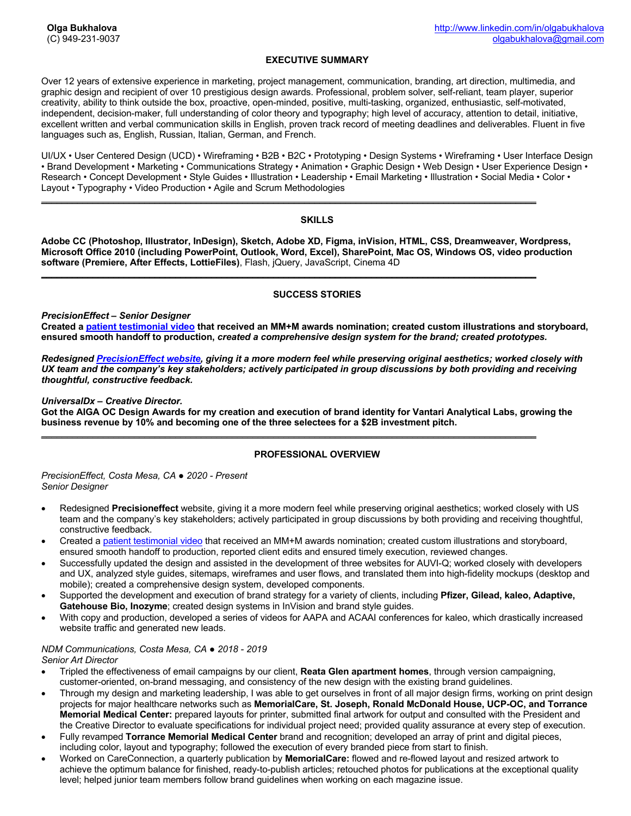# **EXECUTIVE SUMMARY**

Over 12 years of extensive experience in marketing, project management, communication, branding, art direction, multimedia, and graphic design and recipient of over 10 prestigious design awards. Professional, problem solver, self-reliant, team player, superior creativity, ability to think outside the box, proactive, open-minded, positive, multi-tasking, organized, enthusiastic, self-motivated, independent, decision-maker, full understanding of color theory and typography; high level of accuracy, attention to detail, initiative, excellent written and verbal communication skills in English, proven track record of meeting deadlines and deliverables. Fluent in five languages such as, English, Russian, Italian, German, and French.

UI/UX • User Centered Design (UCD) • Wireframing • B2B • B2C • Prototyping • Design Systems • Wireframing • User Interface Design • Brand Development • Marketing • Communications Strategy • Animation • Graphic Design • Web Design • User Experience Design • Research • Concept Development • Style Guides • Illustration • Leadership • Email Marketing • Illustration • Social Media • Color • Layout • Typography • Video Production • Agile and Scrum Methodologies

#### **SKILLS**

**Adobe CC (Photoshop, Illustrator, InDesign), Sketch, Adobe XD, Figma, inVision, HTML, CSS, Dreamweaver, Wordpress, Microsoft Office 2010 (including PowerPoint, Outlook, Word, Excel), SharePoint, Mac OS, Windows OS, video production software (Premiere, After Effects, LottieFiles)**, Flash, jQuery, JavaScript, Cinema 4D

 $\overline{\phantom{a}}$  , and the set of the set of the set of the set of the set of the set of the set of the set of the set of the set of the set of the set of the set of the set of the set of the set of the set of the set of the s

\_\_\_\_\_\_\_\_\_\_\_\_\_\_\_\_\_\_\_\_\_\_\_\_\_\_\_\_\_\_\_\_\_\_\_\_\_\_\_\_\_\_\_\_\_\_\_\_\_\_\_\_\_\_\_\_\_\_\_\_\_\_\_\_\_\_\_\_\_\_\_\_\_\_\_\_\_\_\_\_\_\_\_\_\_\_\_\_\_\_\_\_\_\_\_\_

## **SUCCESS STORIES**

*PrecisionEffect – Senior Designer*

**Created a patient testimonial video that received an MM+M awards nomination; created custom illustrations and storyboard, ensured smooth handoff to production,** *created a comprehensive design system for the brand; created prototypes.*

*Redesigned PrecisionEffect website, giving it a more modern feel while preserving original aesthetics; worked closely with*  UX *team and the company's key stakeholders; actively participated in group discussions by both providing and receiving thoughtful, constructive feedback.*

#### *UniversalDx – Creative Director.*

**Got the AIGA OC Design Awards for my creation and execution of brand identity for Vantari Analytical Labs, growing the business revenue by 10% and becoming one of the three selectees for a \$2B investment pitch.**

 $\overline{\phantom{a}}$  , and the set of the set of the set of the set of the set of the set of the set of the set of the set of the set of the set of the set of the set of the set of the set of the set of the set of the set of the s

## **PROFESSIONAL OVERVIEW**

*PrecisionEffect, Costa Mesa, CA ● 2020 - Present Senior Designer*

- Redesigned **Precisioneffect** website, giving it a more modern feel while preserving original aesthetics; worked closely with US team and the company's key stakeholders; actively participated in group discussions by both providing and receiving thoughtful, constructive feedback.
- Created a patient testimonial video that received an MM+M awards nomination; created custom illustrations and storyboard, ensured smooth handoff to production, reported client edits and ensured timely execution, reviewed changes.
- Successfully updated the design and assisted in the development of three websites for AUVI-Q; worked closely with developers and UX, analyzed style guides, sitemaps, wireframes and user flows, and translated them into high-fidelity mockups (desktop and mobile); created a comprehensive design system, developed components.
- Supported the development and execution of brand strategy for a variety of clients, including **Pfizer, Gilead, kaleo, Adaptive, Gatehouse Bio, Inozyme**; created design systems in InVision and brand style guides.
- With copy and production, developed a series of videos for AAPA and ACAAI conferences for kaleo, which drastically increased website traffic and generated new leads.

# *NDM Communications, Costa Mesa, CA ● 2018 - 2019*

*Senior Art Director* 

- Tripled the effectiveness of email campaigns by our client, **Reata Glen apartment homes**, through version campaigning, customer-oriented, on-brand messaging, and consistency of the new design with the existing brand guidelines.
- Through my design and marketing leadership, I was able to get ourselves in front of all major design firms, working on print design projects for major healthcare networks such as **MemorialCare, St. Joseph, Ronald McDonald House, UCP-OC, and Torrance Memorial Medical Center:** prepared layouts for printer, submitted final artwork for output and consulted with the President and the Creative Director to evaluate specifications for individual project need; provided quality assurance at every step of execution.
- Fully revamped **Torrance Memorial Medical Center** brand and recognition; developed an array of print and digital pieces, including color, layout and typography; followed the execution of every branded piece from start to finish.
- Worked on CareConnection, a quarterly publication by **MemorialCare:** flowed and re-flowed layout and resized artwork to achieve the optimum balance for finished, ready-to-publish articles; retouched photos for publications at the exceptional quality level; helped junior team members follow brand guidelines when working on each magazine issue.